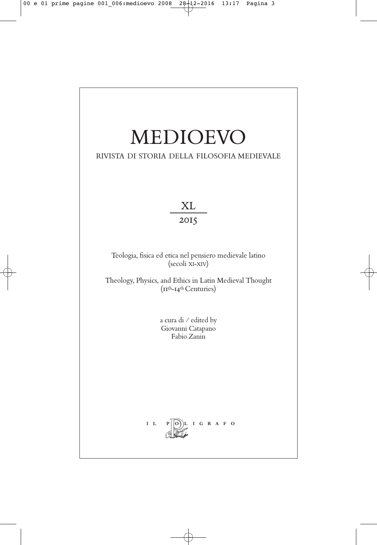# MEDIOEVO

# RIVISTA DI STORIA DELLA FILOSOFIA MEDIEVALE

XL 2015

Teologia, fisica ed etica nel pensiero medievale latino (secoli XI-XIV)

Theology, Physics, and Ethics in Latin Medieval Thought (11th-14th Centuries)

> a cura di / edited by Giovanni Catapano Fabio Zanin

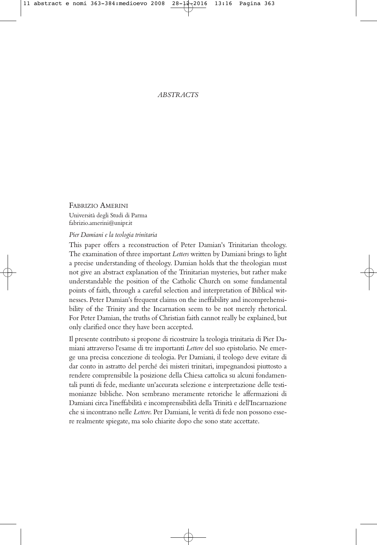# *ABSTRACTS*

FABRIZIO AMERINI Università degli Studi di Parma fabrizio.amerini@unipr.it

*Pier Damiani e la teologia trinitaria*

This paper offers a reconstruction of Peter Damian's Trinitarian theology. The examination of three important *Letters* written by Damiani brings to light a precise understanding of theology. Damian holds that the theologian must not give an abstract explanation of the Trinitarian mysteries, but rather make understandable the position of the Catholic Church on some fundamental points of faith, through a careful selection and interpretation of Biblical witnesses. Peter Damian's frequent claims on the ineffability and incomprehensibility of the Trinity and the Incarnation seem to be not merely rhetorical. For Peter Damian, the truths of Christian faith cannot really be explained, but only clarified once they have been accepted.

Il presente contributo si propone di ricostruire la teologia trinitaria di Pier Damiani attraverso l'esame di tre importanti *Lettere* del suo epistolario. Ne emerge una precisa concezione di teologia. Per Damiani, il teologo deve evitare di dar conto in astratto del perché dei misteri trinitari, impegnandosi piuttosto a rendere comprensibile la posizione della Chiesa cattolica su alcuni fondamentali punti di fede, mediante un'accurata selezione e interpretazione delle testimonianze bibliche. Non sembrano meramente retoriche le affermazioni di Damiani circa l'ineffabilità e incomprensibilità della Trinità e dell'Incarnazione che si incontrano nelle *Lettere*. Per Damiani, le verità di fede non possono essere realmente spiegate, ma solo chiarite dopo che sono state accettate.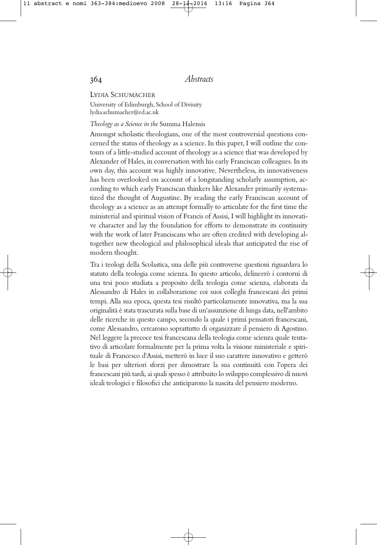LYDIA SCHUMACHER

University of Edimburgh, School of Divinity lydia.schumacher@ed.ac.uk

#### *Theology as a Science in the* Summa Halensis

Amongst scholastic theologians, one of the most controversial questions concerned the status of theology as a science. In this paper, I will outline the contours of a little-studied account of theology as a science that was developed by Alexander of Hales, in conversation with his early Franciscan colleagues. In its own day, this account was highly innovative. Nevertheless, its innovativeness has been overlooked on account of a longstanding scholarly assumption, according to which early Franciscan thinkers like Alexander primarily systematized the thought of Augustine. By reading the early Franciscan account of theology as a science as an attempt formally to articulate for the first time the ministerial and spiritual vision of Francis of Assisi, I will highlight its innovative character and lay the foundation for efforts to demonstrate its continuity with the work of later Franciscans who are often credited with developing altogether new theological and philosophical ideals that anticipated the rise of modern thought.

Tra i teologi della Scolastica, una delle più controverse questioni riguardava lo statuto della teologia come scienza. In questo articolo, delineerò i contorni di una tesi poco studiata a proposito della teologia come scienza, elaborata da Alessandro di Hales in collaborazione coi suoi colleghi francescani dei primi tempi. Alla sua epoca, questa tesi risultò particolarmente innovativa, ma la sua originalità è stata trascurata sulla base di un'assunzione di lunga data, nell'ambito delle ricerche in questo campo, secondo la quale i primi pensatori francescani, come Alessandro, cercarono soprattutto di organizzare il pensiero di Agostino. Nel leggere la precoce tesi francescana della teologia come scienza quale tentativo di articolare formalmente per la prima volta la visione ministeriale e spirituale di Francesco d'Assisi, metterò in luce il suo carattere innovativo e getterò le basi per ulteriori sforzi per dimostrare la sua continuità con l'opera dei francescani più tardi, ai quali spesso è attribuito lo sviluppo complessivo di nuovi ideali teologici e filosofici che anticiparono la nascita del pensiero moderno.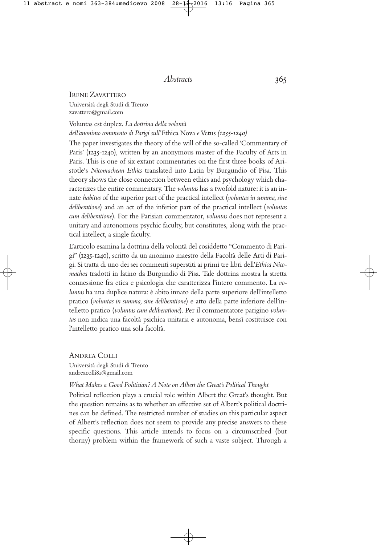#### IRENE ZAVATTERO

Università degli Studi di Trento zavattero@gmail.com

# Voluntas est duplex. *La dottrina della volontà dell'anonimo commento di Parigi sull'* Ethica Nova *e* Vetus *(1235-1240)*

The paper investigates the theory of the will of the so-called 'Commentary of Paris' (1235-1240), written by an anonymous master of the Faculty of Arts in Paris. This is one of six extant commentaries on the first three books of Aristotle's *Nicomachean Ethics* translated into Latin by Burgundio of Pisa. This theory shows the close connection between ethics and psychology which characterizes the entire commentary. The *voluntas* has a twofold nature: it is an innate *habitus* of the superior part of the practical intellect (*voluntas in summa, sine deliberatione*) and an act of the inferior part of the practical intellect (*voluntas cum deliberatione*). For the Parisian commentator, *voluntas* does not represent a unitary and autonomous psychic faculty, but constitutes, along with the practical intellect, a single faculty.

L'articolo esamina la dottrina della volontà del cosiddetto "Commento di Parigi" (1235-1240), scritto da un anonimo maestro della Facoltà delle Arti di Parigi. Si tratta di uno dei sei commenti superstiti ai primi tre libri dell'*Ethica Nicomachea* tradotti in latino da Burgundio di Pisa. Tale dottrina mostra la stretta connessione fra etica e psicologia che caratterizza l'intero commento. La *voluntas* ha una duplice natura: è abito innato della parte superiore dell'intelletto pratico (*voluntas in summa, sine deliberatione*) e atto della parte inferiore dell'intelletto pratico (*voluntas cum deliberatione*). Per il commentatore parigino *voluntas* non indica una facoltà psichica unitaria e autonoma, bensì costituisce con l'intelletto pratico una sola facoltà.

ANDREA COLLI Università degli Studi di Trento andreacolli81@gmail.com

#### *What Makes a Good Politician? A Note on Albert the Great's Political Thought*

Political reflection plays a crucial role within Albert the Great's thought. But the question remains as to whether an effective set of Albert's political doctrines can be defined. The restricted number of studies on this particular aspect of Albert's reflection does not seem to provide any precise answers to these specific questions. This article intends to focus on a circumscribed (but thorny) problem within the framework of such a vaste subject. Through a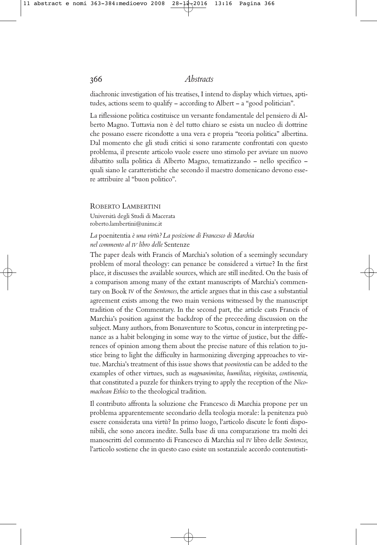diachronic investigation of his treatises, I intend to display which virtues, aptitudes, actions seem to qualify – according to Albert – a "good politician".

La riflessione politica costituisce un versante fondamentale del pensiero di Alberto Magno. Tuttavia non è del tutto chiaro se esista un nucleo di dottrine che possano essere ricondotte a una vera e propria "teoria politica" albertina. Dal momento che gli studi critici si sono raramente confrontati con questo problema, il presente articolo vuole essere uno stimolo per avviare un nuovo dibattito sulla politica di Alberto Magno, tematizzando – nello specifico – quali siano le caratteristiche che secondo il maestro domenicano devono essere attribuire al "buon politico".

ROBERTO LAMBERTINI

Università degli Studi di Macerata roberto.lambertini@unimc.it

# *La* poenitentia *è una virtù? La posizione di Francesco di Marchia nel commento al IV libro delle* Sentenze

The paper deals with Francis of Marchia's solution of a seemingly secundary problem of moral theology: can penance be considered a virtue? In the first place, it discusses the available sources, which are still inedited. On the basis of a comparison among many of the extant manuscripts of Marchia's commentary on Book IV of the *Sentences*, the article argues that in this case a substantial agreement exists among the two main versions witnessed by the manuscript tradition of the Commentary. In the second part, the article casts Francis of Marchia's position against the backdrop of the preceeding discussion on the subject. Many authors, from Bonaventure to Scotus, concur in interpreting penance as a habit belonging in some way to the virtue of justice, but the differences of opinion among them about the precise nature of this relation to justice bring to light the difficulty in harmonizing diverging approaches to virtue. Marchia's treatment of this issue shows that *poenitentia* can be added to the examples of other virtues, such as *magnanimitas*, *humilitas*, *virginitas*, *continentia*, that constituted a puzzle for thinkers trying to apply the reception of the *Nicomachean Ethics* to the theological tradition.

Il contributo affronta la soluzione che Francesco di Marchia propone per un problema apparentemente secondario della teologia morale: la penitenza può essere considerata una virtù? In primo luogo, l'articolo discute le fonti disponibili, che sono ancora inedite. Sulla base di una comparazione tra molti dei manoscritti del commento di Francesco di Marchia sul IV libro delle *Sentenze*, l'articolo sostiene che in questo caso esiste un sostanziale accordo contenutisti-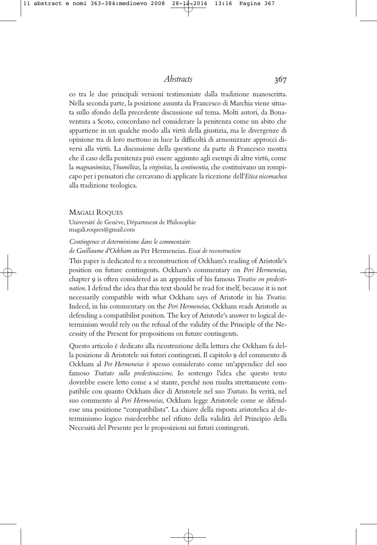co tra le due principali versioni testimoniate dalla tradizione manoscritta. Nella seconda parte, la posizione assunta da Francesco di Marchia viene situata sullo sfondo della precedente discussione sul tema. Molti autori, da Bonaventura a Scoto, concordano nel considerare la penitenza come un abito che appartiene in un qualche modo alla virtù della giustizia, ma le divergenze di opinione tra di loro mettono in luce la difficoltà di armonizzare approcci diversi alla virtù. La discussione della questione da parte di Francesco mostra che il caso della penitenza può essere aggiunto agli esempi di altre virtù, come la *magnanimitas*, l'*humilitas*, la *virginitas*, la *continentia*, che costituivano un rompicapo per i pensatori che cercavano di applicare la ricezione dell'*Etica nicomachea* alla tradizione teologica.

#### MAGALI ROQUES

Université de Genève, Départment de Philosophie magali.roques@gmail.com

#### *Contingence et determinisme dans le commentaire de Guillaume d'Ockham au* Per Hermeneias. *Essai de reconstruction*

This paper is dedicated to a reconstruction of Ockham's reading of Aristotle's position on future contingents. Ockham's commentary on *Peri Hermeneias*, chapter 9 is often considered as an appendix of his famous *Treatise on predestination*. I defend the idea that this text should be read for itself, because it is not necessarily compatible with what Ockham says of Aristotle in his *Treatise*. Indeed, in his commentary on the *Peri Hermeneias*, Ockham reads Aristotle as defending a compatibilist position. The key of Aristotle's answer to logical determinism would rely on the refusal of the validity of the Principle of the Necessity of the Present for propositions on future contingents.

Questo articolo è dedicato alla ricostruzione della lettura che Ockham fa della posizione di Aristotele sui futuri contingenti. Il capitolo 9 del commento di Ockham al *Per Hermeneias* è spesso considerato come un'appendice del suo famoso *Trattato sulla predestinazione*. Io sostengo l'idea che questo testo dovrebbe essere letto come a sé stante, perché non risulta strettamente compatibile con quanto Ockham dice di Aristotele nel suo *Trattato*. In verità, nel suo commento al *Peri Hermeneias*, Ockham legge Aristotele come se difendesse una posizione "compatibilista". La chiave della risposta aristotelica al determinismo logico risiederebbe nel rifiuto della validità del Principio della Necessità del Presente per le proposizioni sui futuri contingenti.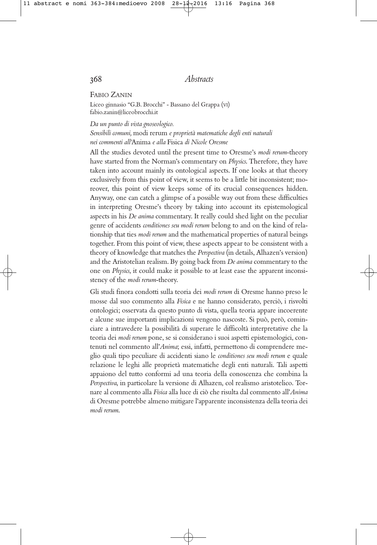#### FABIO ZANIN

Liceo ginnasio "G.B. Brocchi" - Bassano del Grappa (VI) fabio.zanin@liceobrocchi.it

# *Da un punto di vista gnoseologico. Sensibili comuni,* modi rerum *e proprietà matematiche degli enti naturali nei commenti all'*Anima *e alla* Fisica *di Nicole Oresme*

All the studies devoted until the present time to Oresme's *modi rerum*-theory have started from the Norman's commentary on *Physics*. Therefore, they have taken into account mainly its ontological aspects. If one looks at that theory exclusively from this point of view, it seems to be a little bit inconsistent; moreover, this point of view keeps some of its crucial consequences hidden. Anyway, one can catch a glimpse of a possible way out from these difficulties in interpreting Oresme's theory by taking into account its epistemological aspects in his *De anima* commentary. It really could shed light on the peculiar genre of accidents *conditiones seu modi rerum* belong to and on the kind of relationship that ties *modi rerum* and the mathematical properties of natural beings together. From this point of view, these aspects appear to be consistent with a theory of knowledge that matches the *Perspectiva* (in details, Alhazen's version) and the Aristotelian realism. By going back from *De anima* commentary to the one on *Physics*, it could make it possible to at least ease the apparent inconsistency of the *modi rerum*-theory.

Gli studi finora condotti sulla teoria dei *modi rerum* di Oresme hanno preso le mosse dal suo commento alla *Fisica* e ne hanno considerato, perciò, i risvolti ontologici; osservata da questo punto di vista, quella teoria appare incoerente e alcune sue importanti implicazioni vengono nascoste. Si può, però, cominciare a intravedere la possibilità di superare le difficoltà interpretative che la teoria dei *modi rerum* pone, se si considerano i suoi aspetti epistemologici, contenuti nel commento all'*Anima*; essi, infatti, permettono di comprendere meglio quali tipo peculiare di accidenti siano le *conditiones seu modi rerum* e quale relazione le leghi alle proprietà matematiche degli enti naturali. Tali aspetti appaiono del tutto conformi ad una teoria della conoscenza che combina la *Perspectiva*, in particolare la versione di Alhazen, col realismo aristotelico. Tornare al commento alla *Fisica* alla luce di ciò che risulta dal commento all'*Anima* di Oresme potrebbe almeno mitigare l'apparente inconsistenza della teoria dei *modi rerum*.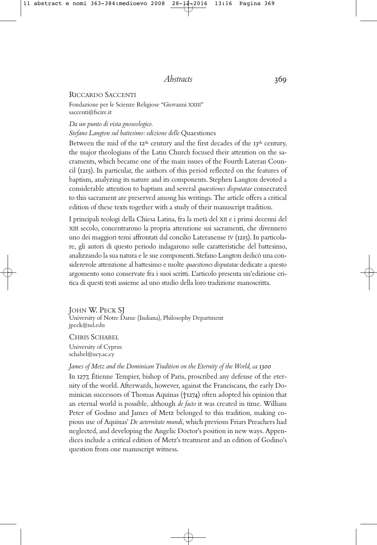## RICCARDO SACCENTI

Fondazione per le Scienze Religiose "Giovanni XXIII" saccenti@fscire.it

#### *Da un punto di vista gnoseologico. Stefano Langton sul battesimo: edizione delle* Quaestiones

Between the mid of the  $12<sup>th</sup>$  century and the first decades of the  $13<sup>th</sup>$  century, the major theologians of the Latin Church focused their attention on the sacraments, which became one of the main issues of the Fourth Lateran Council (1215). In particular, the authors of this period reflected on the features of baptism, analyzing its nature and its components. Stephen Langton devoted a considerable attention to baptism and several *quaestiones disputatae* consecrated to this sacrament are preserved among his writings. The article offers a critical edition of these texts together with a study of their manuscript tradition.

I principali teologi della Chiesa Latina, fra la metà del XII e i primi decenni del XIII secolo, concentrarono la propria attenzione sui sacramenti, che divennero uno dei maggiori temi affrontati dal concilio Lateranense IV (1215). In particolare, gli autori di questo periodo indagarono sulle caratteristiche del battesimo, analizzando la sua natura e le sue componenti. Stefano Langton dedicò una considerevole attenzione al battesimo e molte *quaestiones disputatae* dedicate a questo argomento sono conservate fra i suoi scritti. L'articolo presenta un'edizione critica di questi testi assieme ad uno studio della loro tradizione manoscritta.

JOHN W. PECK SJ University of Notre Dame (Indiana), Philosophy Department jpeck@nd.edu

CHRIS SCHABEL

University of Cyprus schabel@ucy.ac.cy

# *James of Metz and the Dominican Tradition on the Eternity of the World, ca 1300*

In 1277, Étienne Tempier, bishop of Paris, proscribed any defense of the eternity of the world. Afterwards, however, against the Franciscans, the early Dominican successors of Thomas Aquinas (†1274) often adopted his opinion that an eternal world is possible, although *de facto* it was created in time. William Peter of Godino and James of Metz belonged to this tradition, making copious use of Aquinas' *De aeternitate mundi*, which previous Friars Preachers had neglected, and developing the Angelic Doctor's position in new ways. Appendices include a critical edition of Metz's treatment and an edition of Godino's question from one manuscript witness.